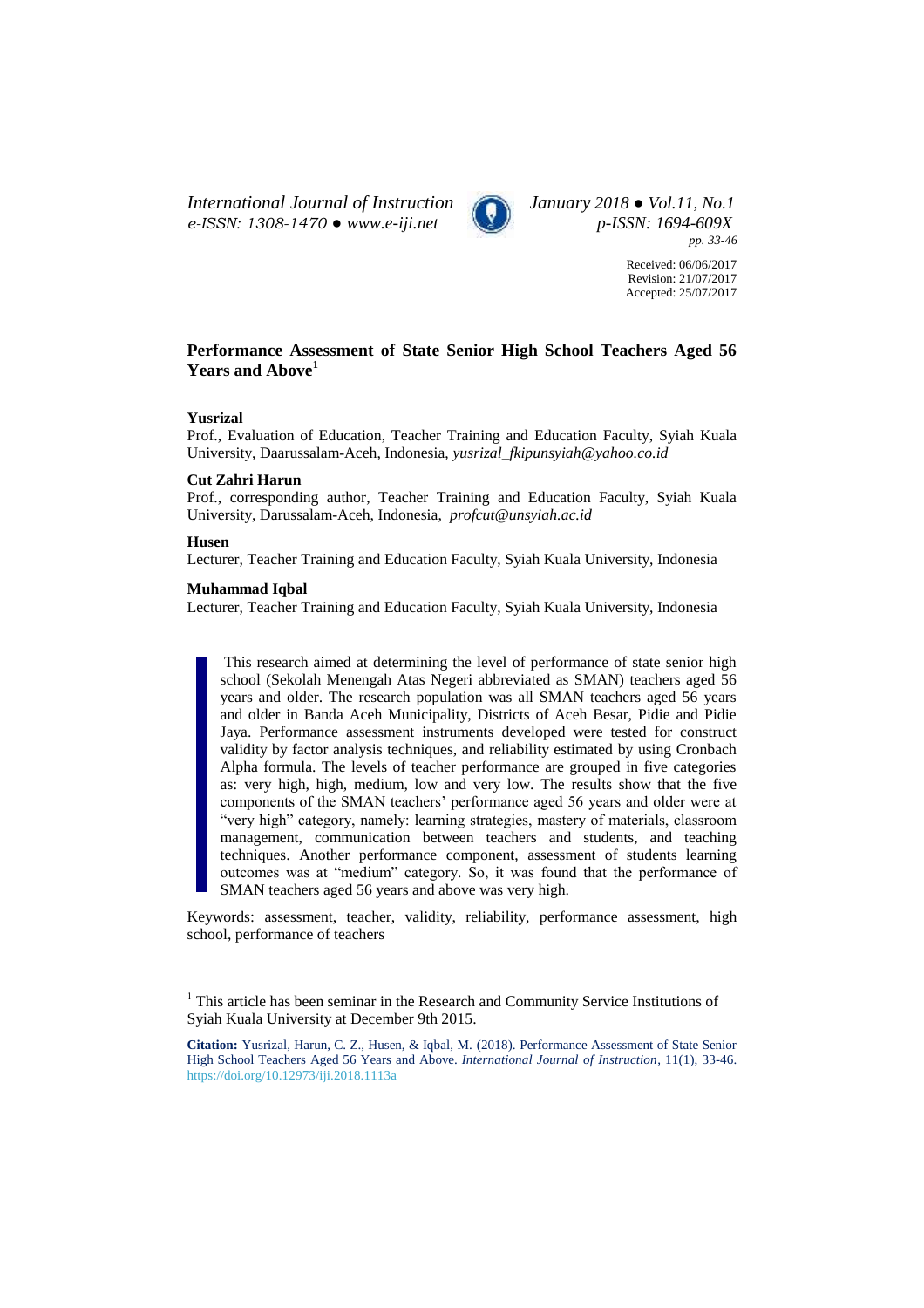*International Journal of Instruction January 2018 ● Vol.11, No.1 e-ISSN: 1308-1470 ● [www.e-iji.net](http://www.e-iji.net/) p-ISSN: 1694-609X*



*pp. 33-46*

Received: 06/06/2017 Revision: 21/07/2017 Accepted: 25/07/2017

# **Performance Assessment of State Senior High School Teachers Aged 56 Years and Above<sup>1</sup>**

## **Yusrizal**

Prof., Evaluation of Education, Teacher Training and Education Faculty, Syiah Kuala University, Daarussalam-Aceh, Indonesia, *yusrizal\_fkipunsyiah@yahoo.co.id*

#### **Cut Zahri Harun**

Prof., corresponding author, Teacher Training and Education Faculty, Syiah Kuala University, Darussalam-Aceh, Indonesia, *profcut@unsyiah.ac.id*

## **Husen**

 $\overline{a}$ 

Lecturer, Teacher Training and Education Faculty, Syiah Kuala University, Indonesia

# **Muhammad Iqbal**

Lecturer, Teacher Training and Education Faculty, Syiah Kuala University, Indonesia

This research aimed at determining the level of performance of state senior high school (Sekolah Menengah Atas Negeri abbreviated as SMAN) teachers aged 56 years and older. The research population was all SMAN teachers aged 56 years and older in Banda Aceh Municipality, Districts of Aceh Besar, Pidie and Pidie Jaya. Performance assessment instruments developed were tested for construct validity by factor analysis techniques, and reliability estimated by using Cronbach Alpha formula. The levels of teacher performance are grouped in five categories as: very high, high, medium, low and very low. The results show that the five components of the SMAN teachers' performance aged 56 years and older were at "very high" category, namely: learning strategies, mastery of materials, classroom management, communication between teachers and students, and teaching techniques. Another performance component, assessment of students learning outcomes was at "medium" category. So, it was found that the performance of SMAN teachers aged 56 years and above was very high.

Keywords: assessment, teacher, validity, reliability, performance assessment, high school, performance of teachers

<sup>&</sup>lt;sup>1</sup> This article has been seminar in the Research and Community Service Institutions of Syiah Kuala University at December 9th 2015.

**Citation:** Yusrizal, Harun, C. Z., Husen, & Iqbal, M. (2018). Performance Assessment of State Senior High School Teachers Aged 56 Years and Above. *International Journal of Instruction*, 11(1), 33-46. <https://doi.org/10.12973/iji.2018.1113a>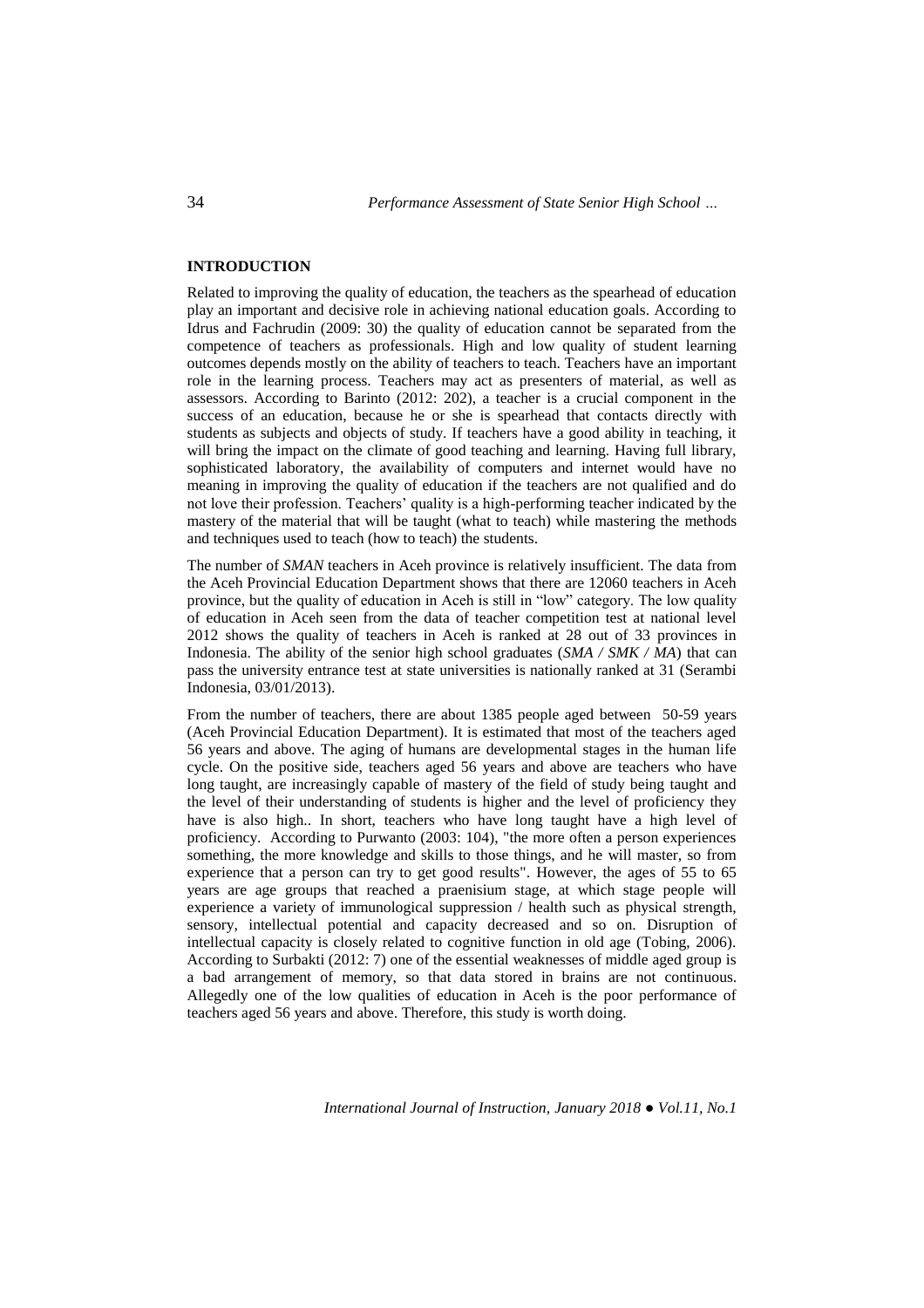# **INTRODUCTION**

Related to improving the quality of education, the teachers as the spearhead of education play an important and decisive role in achieving national education goals. According to Idrus and Fachrudin (2009: 30) the quality of education cannot be separated from the competence of teachers as professionals. High and low quality of student learning outcomes depends mostly on the ability of teachers to teach. Teachers have an important role in the learning process. Teachers may act as presenters of material, as well as assessors. According to Barinto (2012: 202), a teacher is a crucial component in the success of an education, because he or she is spearhead that contacts directly with students as subjects and objects of study. If teachers have a good ability in teaching, it will bring the impact on the climate of good teaching and learning. Having full library, sophisticated laboratory, the availability of computers and internet would have no meaning in improving the quality of education if the teachers are not qualified and do not love their profession. Teachers' quality is a high-performing teacher indicated by the mastery of the material that will be taught (what to teach) while mastering the methods and techniques used to teach (how to teach) the students.

The number of *SMAN* teachers in Aceh province is relatively insufficient. The data from the Aceh Provincial Education Department shows that there are 12060 teachers in Aceh province, but the quality of education in Aceh is still in "low" category. The low quality of education in Aceh seen from the data of teacher competition test at national level 2012 shows the quality of teachers in Aceh is ranked at 28 out of 33 provinces in Indonesia. The ability of the senior high school graduates (*SMA / SMK / MA*) that can pass the university entrance test at state universities is nationally ranked at 31 (Serambi Indonesia, 03/01/2013).

From the number of teachers, there are about 1385 people aged between 50-59 years (Aceh Provincial Education Department). It is estimated that most of the teachers aged 56 years and above. The aging of humans are developmental stages in the human life cycle. On the positive side, teachers aged 56 years and above are teachers who have long taught, are increasingly capable of mastery of the field of study being taught and the level of their understanding of students is higher and the level of proficiency they have is also high.. In short, teachers who have long taught have a high level of proficiency. According to Purwanto (2003: 104), "the more often a person experiences something, the more knowledge and skills to those things, and he will master, so from experience that a person can try to get good results". However, the ages of 55 to 65 years are age groups that reached a praenisium stage, at which stage people will experience a variety of immunological suppression / health such as physical strength, sensory, intellectual potential and capacity decreased and so on. Disruption of intellectual capacity is closely related to cognitive function in old age (Tobing, 2006). According to Surbakti (2012: 7) one of the essential weaknesses of middle aged group is a bad arrangement of memory, so that data stored in brains are not continuous. Allegedly one of the low qualities of education in Aceh is the poor performance of teachers aged 56 years and above. Therefore, this study is worth doing.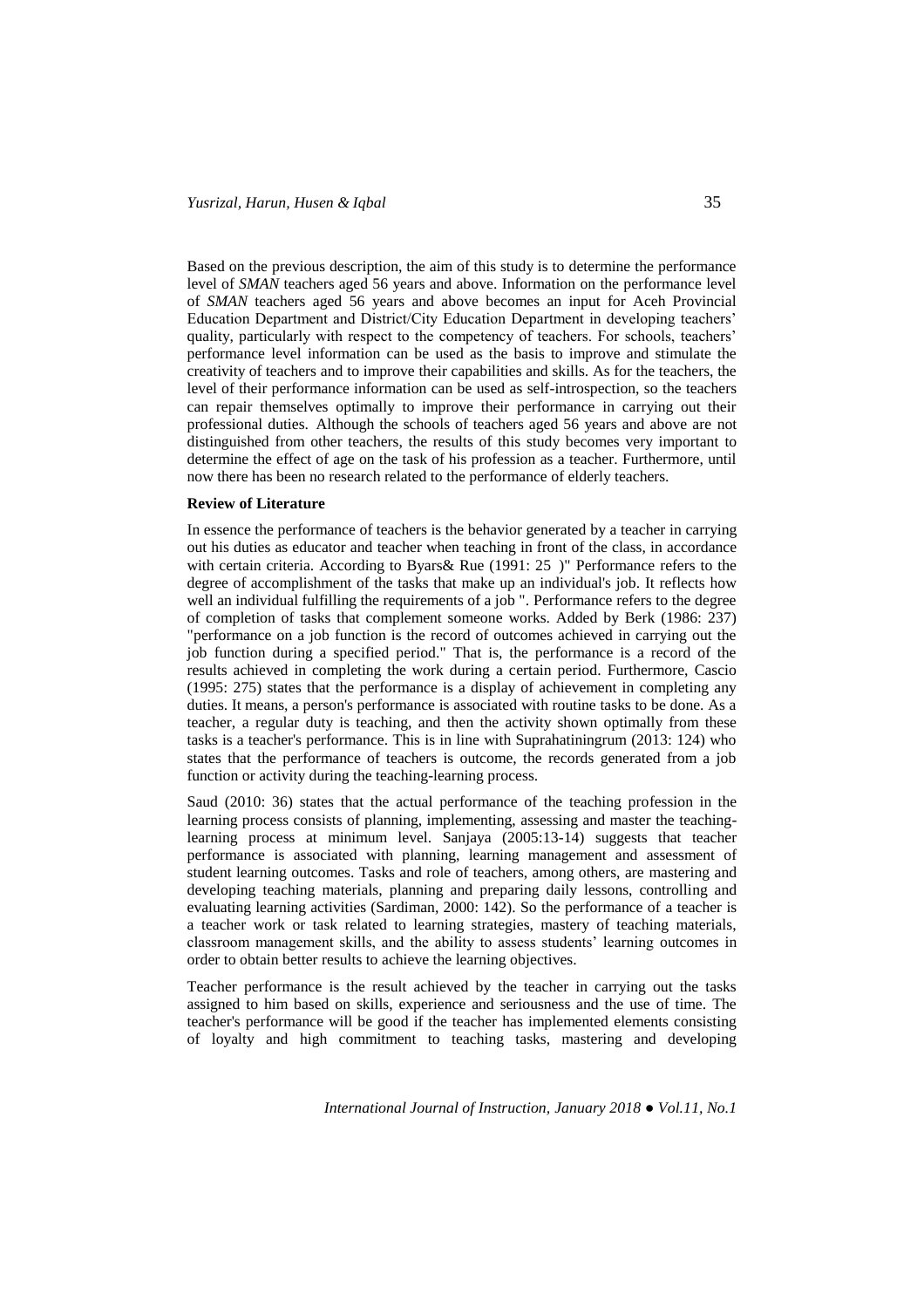Based on the previous description, the aim of this study is to determine the performance level of *SMAN* teachers aged 56 years and above. Information on the performance level of *SMAN* teachers aged 56 years and above becomes an input for Aceh Provincial Education Department and District/City Education Department in developing teachers' quality, particularly with respect to the competency of teachers. For schools, teachers' performance level information can be used as the basis to improve and stimulate the creativity of teachers and to improve their capabilities and skills. As for the teachers, the level of their performance information can be used as self-introspection, so the teachers can repair themselves optimally to improve their performance in carrying out their professional duties. Although the schools of teachers aged 56 years and above are not distinguished from other teachers, the results of this study becomes very important to determine the effect of age on the task of his profession as a teacher. Furthermore, until now there has been no research related to the performance of elderly teachers.

## **Review of Literature**

In essence the performance of teachers is the behavior generated by a teacher in carrying out his duties as educator and teacher when teaching in front of the class, in accordance with certain criteria. According to Byars & Rue (1991: 25)" Performance refers to the degree of accomplishment of the tasks that make up an individual's job. It reflects how well an individual fulfilling the requirements of a job ". Performance refers to the degree of completion of tasks that complement someone works. Added by Berk (1986: 237) "performance on a job function is the record of outcomes achieved in carrying out the job function during a specified period." That is, the performance is a record of the results achieved in completing the work during a certain period. Furthermore, Cascio (1995: 275) states that the performance is a display of achievement in completing any duties. It means, a person's performance is associated with routine tasks to be done. As a teacher, a regular duty is teaching, and then the activity shown optimally from these tasks is a teacher's performance. This is in line with Suprahatiningrum (2013: 124) who states that the performance of teachers is outcome, the records generated from a job function or activity during the teaching-learning process.

Saud (2010: 36) states that the actual performance of the teaching profession in the learning process consists of planning, implementing, assessing and master the teachinglearning process at minimum level. Sanjaya (2005:13-14) suggests that teacher performance is associated with planning, learning management and assessment of student learning outcomes. Tasks and role of teachers, among others, are mastering and developing teaching materials, planning and preparing daily lessons, controlling and evaluating learning activities (Sardiman, 2000: 142). So the performance of a teacher is a teacher work or task related to learning strategies, mastery of teaching materials, classroom management skills, and the ability to assess students' learning outcomes in order to obtain better results to achieve the learning objectives.

Teacher performance is the result achieved by the teacher in carrying out the tasks assigned to him based on skills, experience and seriousness and the use of time. The teacher's performance will be good if the teacher has implemented elements consisting of loyalty and high commitment to teaching tasks, mastering and developing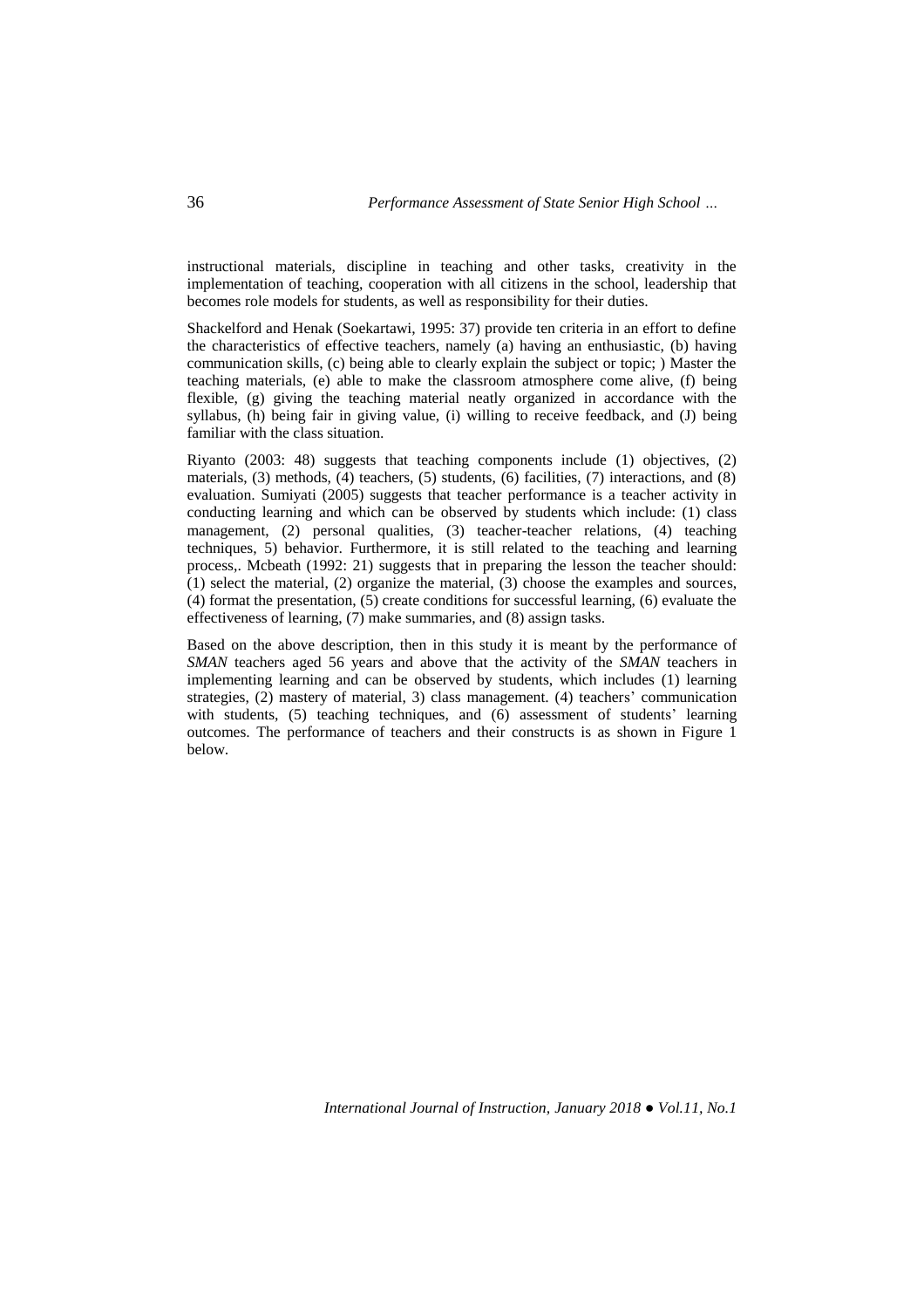instructional materials, discipline in teaching and other tasks, creativity in the implementation of teaching, cooperation with all citizens in the school, leadership that becomes role models for students, as well as responsibility for their duties.

Shackelford and Henak (Soekartawi, 1995: 37) provide ten criteria in an effort to define the characteristics of effective teachers, namely (a) having an enthusiastic, (b) having communication skills, (c) being able to clearly explain the subject or topic; ) Master the teaching materials, (e) able to make the classroom atmosphere come alive, (f) being flexible, (g) giving the teaching material neatly organized in accordance with the syllabus, (h) being fair in giving value, (i) willing to receive feedback, and (J) being familiar with the class situation.

Riyanto (2003: 48) suggests that teaching components include (1) objectives, (2) materials, (3) methods, (4) teachers, (5) students, (6) facilities, (7) interactions, and (8) evaluation. Sumiyati (2005) suggests that teacher performance is a teacher activity in conducting learning and which can be observed by students which include: (1) class management, (2) personal qualities, (3) teacher-teacher relations, (4) teaching techniques, 5) behavior. Furthermore, it is still related to the teaching and learning process,. Mcbeath (1992: 21) suggests that in preparing the lesson the teacher should: (1) select the material, (2) organize the material, (3) choose the examples and sources, (4) format the presentation, (5) create conditions for successful learning, (6) evaluate the effectiveness of learning, (7) make summaries, and (8) assign tasks.

Based on the above description, then in this study it is meant by the performance of *SMAN* teachers aged 56 years and above that the activity of the *SMAN* teachers in implementing learning and can be observed by students, which includes (1) learning strategies, (2) mastery of material, 3) class management. (4) teachers' communication with students, (5) teaching techniques, and (6) assessment of students' learning outcomes. The performance of teachers and their constructs is as shown in Figure 1 below.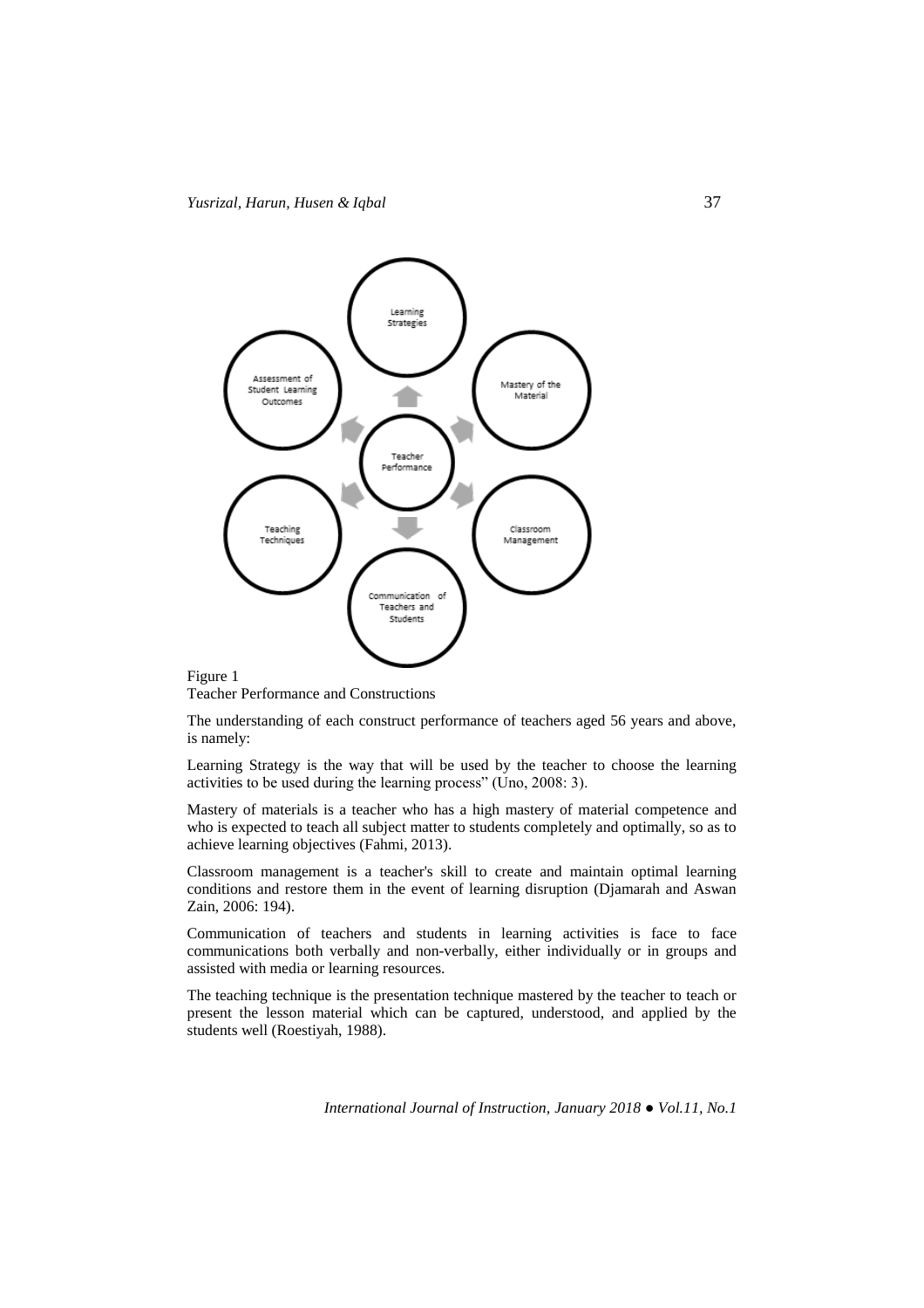

Teacher Performance and Constructions

The understanding of each construct performance of teachers aged 56 years and above, is namely:

Learning Strategy is the way that will be used by the teacher to choose the learning activities to be used during the learning process" (Uno, 2008: 3).

Mastery of materials is a teacher who has a high mastery of material competence and who is expected to teach all subject matter to students completely and optimally, so as to achieve learning objectives (Fahmi, 2013).

Classroom management is a teacher's skill to create and maintain optimal learning conditions and restore them in the event of learning disruption (Djamarah and Aswan Zain, 2006: 194).

Communication of teachers and students in learning activities is face to face communications both verbally and non-verbally, either individually or in groups and assisted with media or learning resources.

The teaching technique is the presentation technique mastered by the teacher to teach or present the lesson material which can be captured, understood, and applied by the students well (Roestiyah, 1988).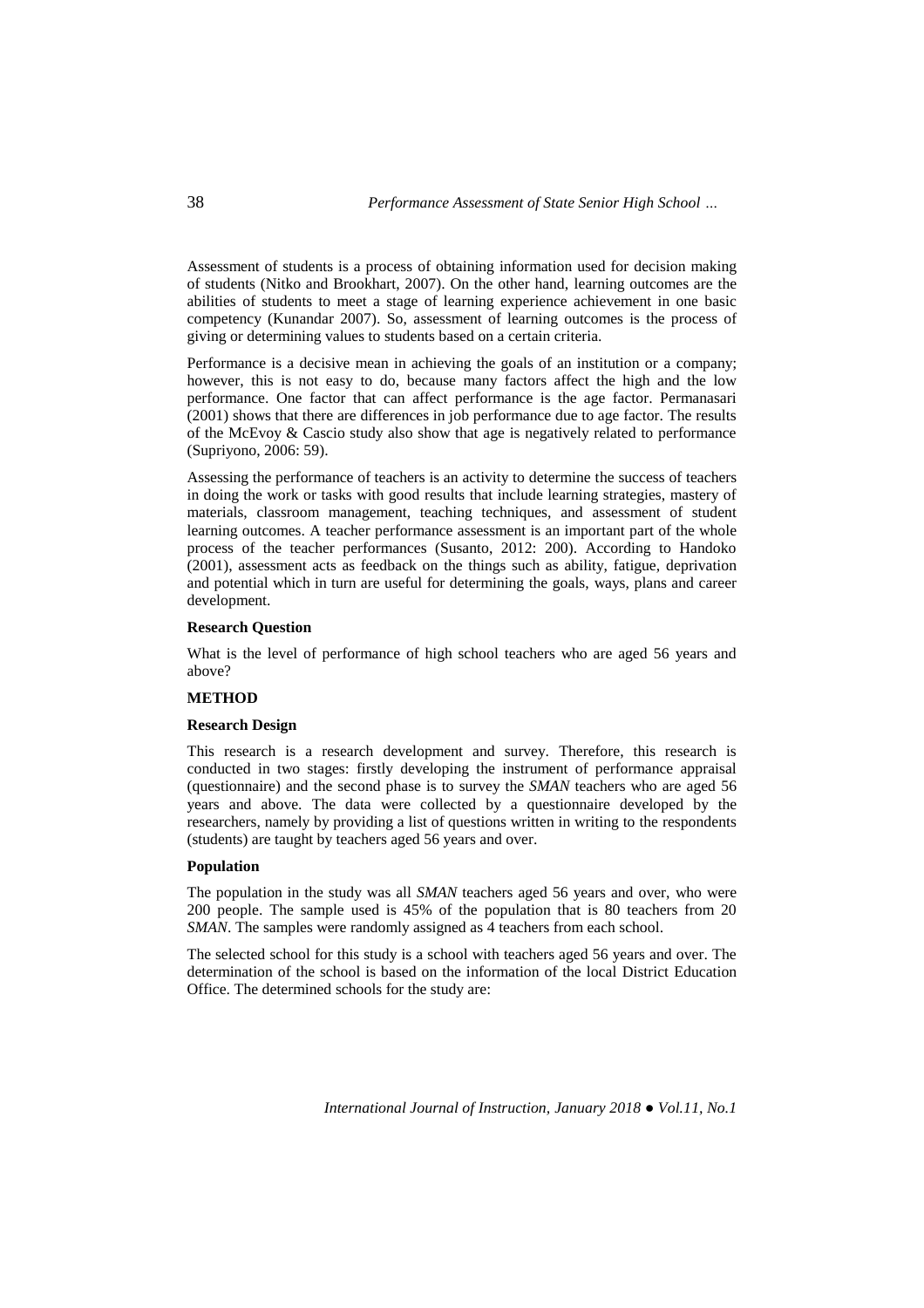Assessment of students is a process of obtaining information used for decision making of students (Nitko and Brookhart, 2007). On the other hand, learning outcomes are the abilities of students to meet a stage of learning experience achievement in one basic competency (Kunandar 2007). So, assessment of learning outcomes is the process of giving or determining values to students based on a certain criteria.

Performance is a decisive mean in achieving the goals of an institution or a company; however, this is not easy to do, because many factors affect the high and the low performance. One factor that can affect performance is the age factor. Permanasari (2001) shows that there are differences in job performance due to age factor. The results of the McEvoy & Cascio study also show that age is negatively related to performance (Supriyono, 2006: 59).

Assessing the performance of teachers is an activity to determine the success of teachers in doing the work or tasks with good results that include learning strategies, mastery of materials, classroom management, teaching techniques, and assessment of student learning outcomes. A teacher performance assessment is an important part of the whole process of the teacher performances (Susanto, 2012: 200). According to Handoko (2001), assessment acts as feedback on the things such as ability, fatigue, deprivation and potential which in turn are useful for determining the goals, ways, plans and career development.

## **Research Question**

What is the level of performance of high school teachers who are aged 56 years and above?

# **METHOD**

# **Research Design**

This research is a research development and survey. Therefore, this research is conducted in two stages: firstly developing the instrument of performance appraisal (questionnaire) and the second phase is to survey the *SMAN* teachers who are aged 56 years and above. The data were collected by a questionnaire developed by the researchers, namely by providing a list of questions written in writing to the respondents (students) are taught by teachers aged 56 years and over.

#### **Population**

The population in the study was all *SMAN* teachers aged 56 years and over, who were 200 people. The sample used is 45% of the population that is 80 teachers from 20 *SMAN*. The samples were randomly assigned as 4 teachers from each school.

The selected school for this study is a school with teachers aged 56 years and over. The determination of the school is based on the information of the local District Education Office. The determined schools for the study are: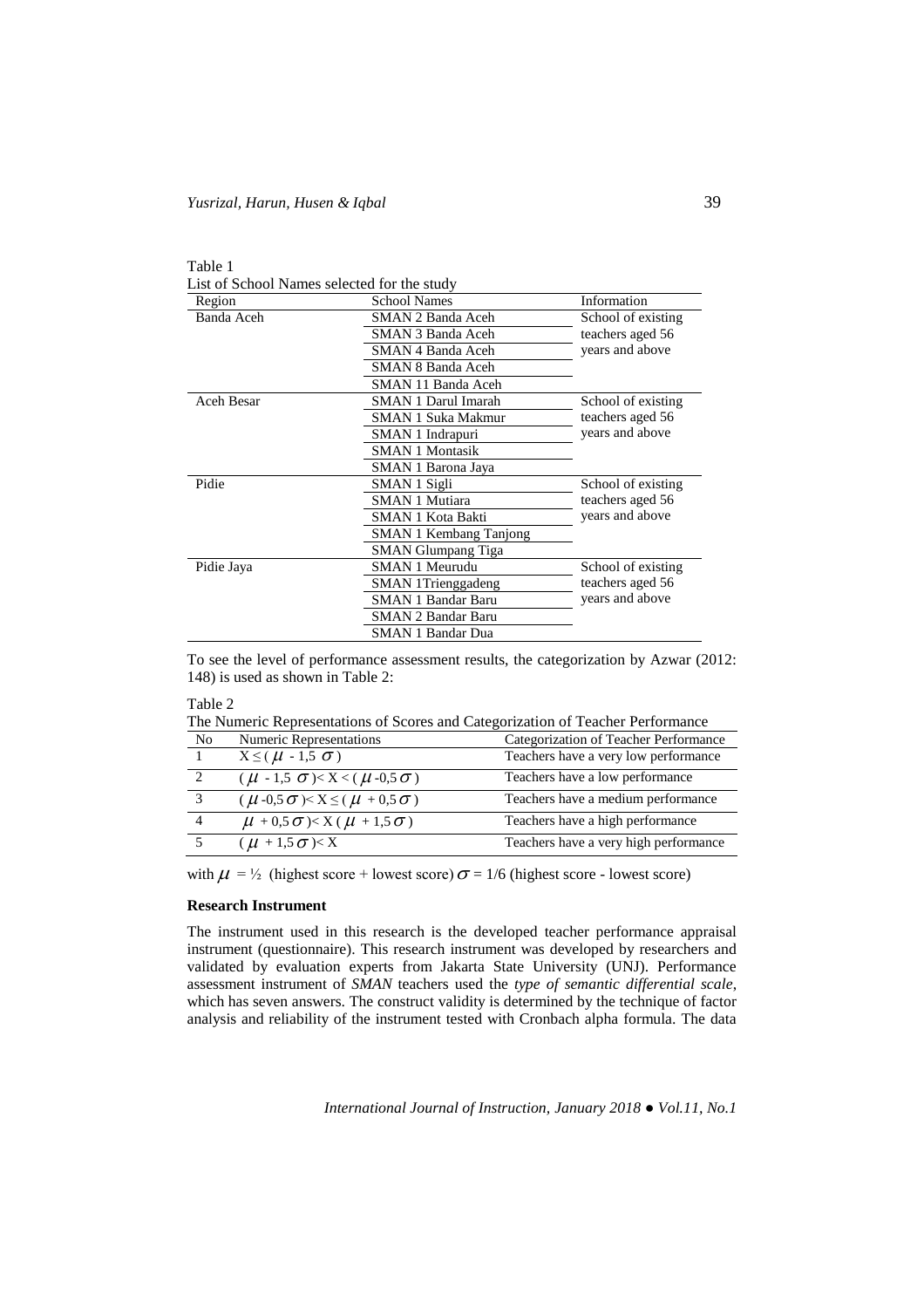| ani |  |
|-----|--|
|-----|--|

List of School Names selected for the study

| Region     | <b>School Names</b>           | Information        |  |
|------------|-------------------------------|--------------------|--|
| Banda Aceh | SMAN 2 Banda Aceh             | School of existing |  |
|            | <b>SMAN 3 Banda Aceh</b>      | teachers aged 56   |  |
|            | SMAN 4 Banda Aceh             | years and above    |  |
|            | <b>SMAN 8 Banda Aceh</b>      |                    |  |
|            | SMAN 11 Banda Aceh            |                    |  |
| Aceh Besar | <b>SMAN 1 Darul Imarah</b>    | School of existing |  |
|            | SMAN 1 Suka Makmur            | teachers aged 56   |  |
|            | SMAN 1 Indrapuri              | years and above    |  |
|            | <b>SMAN 1 Montasik</b>        |                    |  |
|            | SMAN 1 Barona Jaya            |                    |  |
| Pidie      | SMAN 1 Sigli                  | School of existing |  |
|            | <b>SMAN 1 Mutiara</b>         | teachers aged 56   |  |
|            | SMAN 1 Kota Bakti             | years and above    |  |
|            | <b>SMAN 1 Kembang Tanjong</b> |                    |  |
|            | <b>SMAN Glumpang Tiga</b>     |                    |  |
| Pidie Jaya | SMAN 1 Meurudu                | School of existing |  |
|            | <b>SMAN</b> 1Trienggadeng     | teachers aged 56   |  |
|            | <b>SMAN 1 Bandar Baru</b>     | years and above    |  |
|            | SMAN 2 Bandar Baru            |                    |  |
|            | <b>SMAN 1 Bandar Dua</b>      |                    |  |

To see the level of performance assessment results, the categorization by Azwar (2012: 148) is used as shown in Table 2:

| Table 2        |                                                    |                                                                                 |
|----------------|----------------------------------------------------|---------------------------------------------------------------------------------|
|                |                                                    | The Numeric Representations of Scores and Categorization of Teacher Performance |
| N <sub>0</sub> | <b>Numeric Representations</b>                     | Categorization of Teacher Performance                                           |
|                | $X \leq (\mu - 1.5 \sigma)$                        | Teachers have a very low performance                                            |
| 2              | $(\mu - 1.5 \sigma) < X < (\mu - 0.5 \sigma)$      | Teachers have a low performance                                                 |
| $\mathcal{R}$  | $(\mu -0.5 \sigma) < X \leq (\mu +0.5 \sigma)$     | Teachers have a medium performance                                              |
| $\overline{4}$ | $\mu$ + 0,5 $\sigma$ )< X ( $\mu$ + 1,5 $\sigma$ ) | Teachers have a high performance                                                |
| -5             | $(\mu + 1.5 \sigma) < X$                           | Teachers have a very high performance                                           |

with  $\mu = \frac{1}{2}$  (highest score + lowest score)  $\sigma = 1/6$  (highest score - lowest score)

## **Research Instrument**

The instrument used in this research is the developed teacher performance appraisal instrument (questionnaire). This research instrument was developed by researchers and validated by evaluation experts from Jakarta State University (UNJ). Performance assessment instrument of *SMAN* teachers used the *type of semantic differential scale*, which has seven answers. The construct validity is determined by the technique of factor analysis and reliability of the instrument tested with Cronbach alpha formula. The data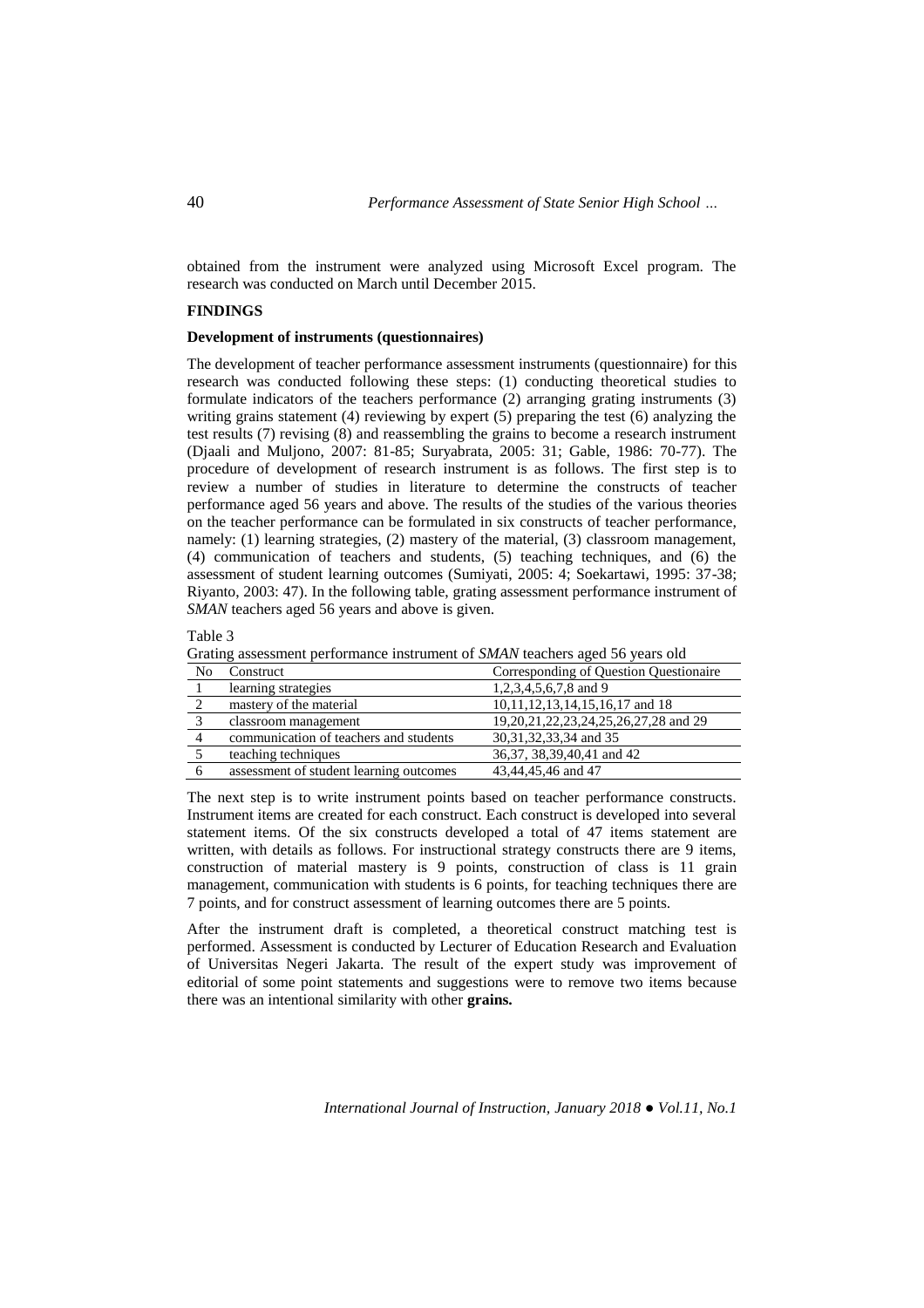obtained from the instrument were analyzed using Microsoft Excel program. The research was conducted on March until December 2015.

## **FINDINGS**

# **Development of instruments (questionnaires)**

The development of teacher performance assessment instruments (questionnaire) for this research was conducted following these steps: (1) conducting theoretical studies to formulate indicators of the teachers performance (2) arranging grating instruments (3) writing grains statement (4) reviewing by expert (5) preparing the test (6) analyzing the test results (7) revising (8) and reassembling the grains to become a research instrument (Djaali and Muljono, 2007: 81-85; Suryabrata, 2005: 31; Gable, 1986: 70-77). The procedure of development of research instrument is as follows. The first step is to review a number of studies in literature to determine the constructs of teacher performance aged 56 years and above. The results of the studies of the various theories on the teacher performance can be formulated in six constructs of teacher performance, namely: (1) learning strategies, (2) mastery of the material, (3) classroom management, (4) communication of teachers and students, (5) teaching techniques, and (6) the assessment of student learning outcomes (Sumiyati, 2005: 4; Soekartawi, 1995: 37-38; Riyanto, 2003: 47). In the following table, grating assessment performance instrument of *SMAN* teachers aged 56 years and above is given.

| able |  |
|------|--|
|------|--|

|  | Grating assessment performance instrument of <i>SMAN</i> teachers aged 56 years old |  |  |
|--|-------------------------------------------------------------------------------------|--|--|
|--|-------------------------------------------------------------------------------------|--|--|

| No | Construct                               | Corresponding of Question Questionaire |
|----|-----------------------------------------|----------------------------------------|
|    | learning strategies                     | 1,2,3,4,5,6,7,8 and 9                  |
|    | mastery of the material                 | 10,11,12,13,14,15,16,17 and 18         |
|    | classroom management                    | 19,20,21,22,23,24,25,26,27,28 and 29   |
|    | communication of teachers and students  | 30, 31, 32, 33, 34 and 35              |
|    | teaching techniques                     | 36, 37, 38, 39, 40, 41 and 42          |
|    | assessment of student learning outcomes | 43,44,45,46 and 47                     |

The next step is to write instrument points based on teacher performance constructs. Instrument items are created for each construct. Each construct is developed into several statement items. Of the six constructs developed a total of 47 items statement are written, with details as follows. For instructional strategy constructs there are 9 items, construction of material mastery is 9 points, construction of class is 11 grain management, communication with students is 6 points, for teaching techniques there are 7 points, and for construct assessment of learning outcomes there are 5 points.

After the instrument draft is completed, a theoretical construct matching test is performed. Assessment is conducted by Lecturer of Education Research and Evaluation of Universitas Negeri Jakarta. The result of the expert study was improvement of editorial of some point statements and suggestions were to remove two items because there was an intentional similarity with other **grains.**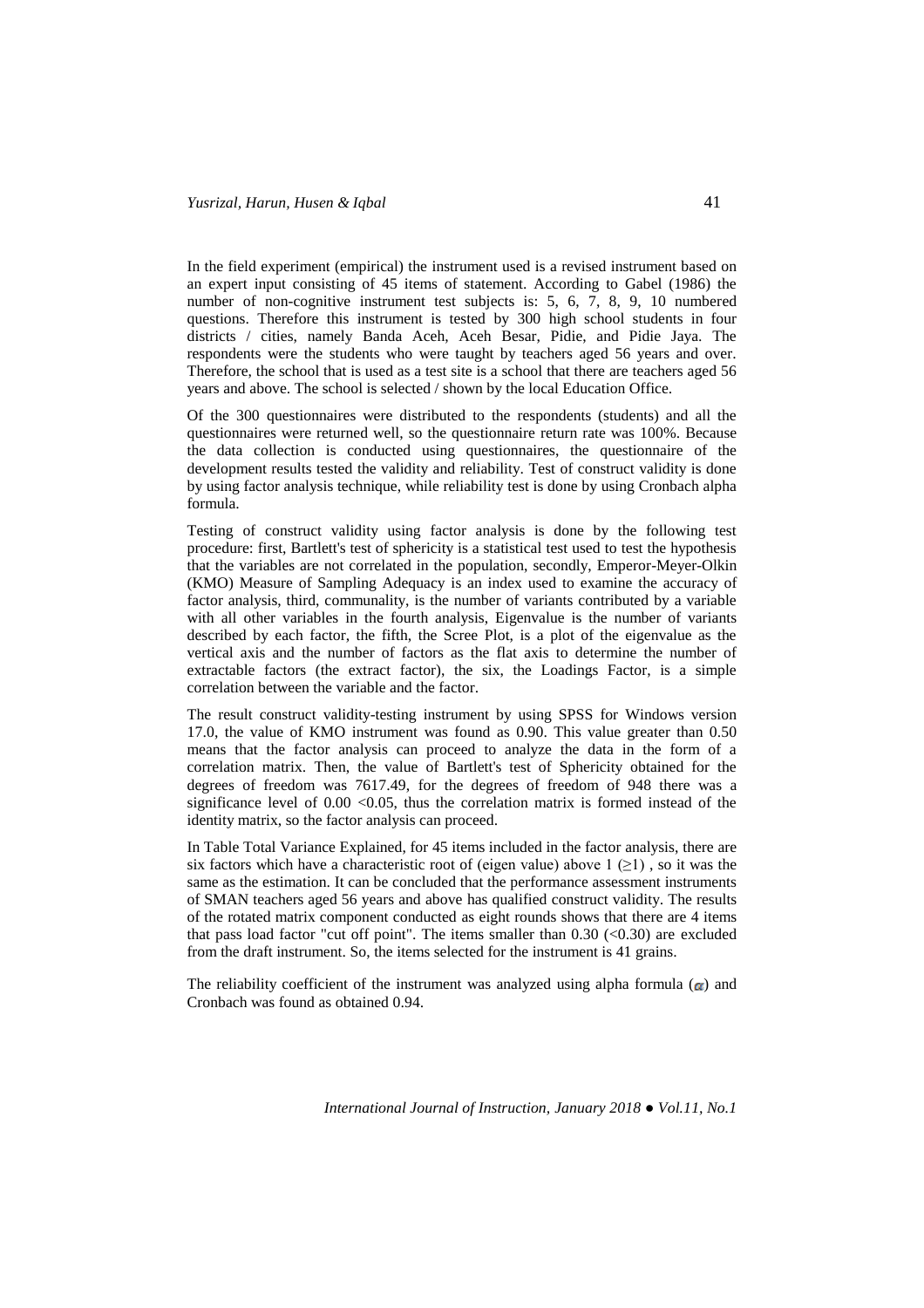In the field experiment (empirical) the instrument used is a revised instrument based on an expert input consisting of 45 items of statement. According to Gabel (1986) the number of non-cognitive instrument test subjects is: 5, 6, 7, 8, 9, 10 numbered questions. Therefore this instrument is tested by 300 high school students in four districts / cities, namely Banda Aceh, Aceh Besar, Pidie, and Pidie Jaya. The respondents were the students who were taught by teachers aged 56 years and over. Therefore, the school that is used as a test site is a school that there are teachers aged 56 years and above. The school is selected / shown by the local Education Office.

Of the 300 questionnaires were distributed to the respondents (students) and all the questionnaires were returned well, so the questionnaire return rate was 100%. Because the data collection is conducted using questionnaires, the questionnaire of the development results tested the validity and reliability. Test of construct validity is done by using factor analysis technique, while reliability test is done by using Cronbach alpha formula.

Testing of construct validity using factor analysis is done by the following test procedure: first, Bartlett's test of sphericity is a statistical test used to test the hypothesis that the variables are not correlated in the population, secondly, Emperor-Meyer-Olkin (KMO) Measure of Sampling Adequacy is an index used to examine the accuracy of factor analysis, third, communality, is the number of variants contributed by a variable with all other variables in the fourth analysis, Eigenvalue is the number of variants described by each factor, the fifth, the Scree Plot, is a plot of the eigenvalue as the vertical axis and the number of factors as the flat axis to determine the number of extractable factors (the extract factor), the six, the Loadings Factor, is a simple correlation between the variable and the factor.

The result construct validity-testing instrument by using SPSS for Windows version 17.0, the value of KMO instrument was found as 0.90. This value greater than 0.50 means that the factor analysis can proceed to analyze the data in the form of a correlation matrix. Then, the value of Bartlett's test of Sphericity obtained for the degrees of freedom was 7617.49, for the degrees of freedom of 948 there was a significance level of  $0.00 \le 0.05$ , thus the correlation matrix is formed instead of the identity matrix, so the factor analysis can proceed.

In Table Total Variance Explained, for 45 items included in the factor analysis, there are six factors which have a characteristic root of (eigen value) above  $1 \geq 1$ ), so it was the same as the estimation. It can be concluded that the performance assessment instruments of SMAN teachers aged 56 years and above has qualified construct validity. The results of the rotated matrix component conducted as eight rounds shows that there are 4 items that pass load factor "cut off point". The items smaller than  $0.30$  (<0.30) are excluded from the draft instrument. So, the items selected for the instrument is 41 grains.

The reliability coefficient of the instrument was analyzed using alpha formula  $\alpha$  and Cronbach was found as obtained 0.94.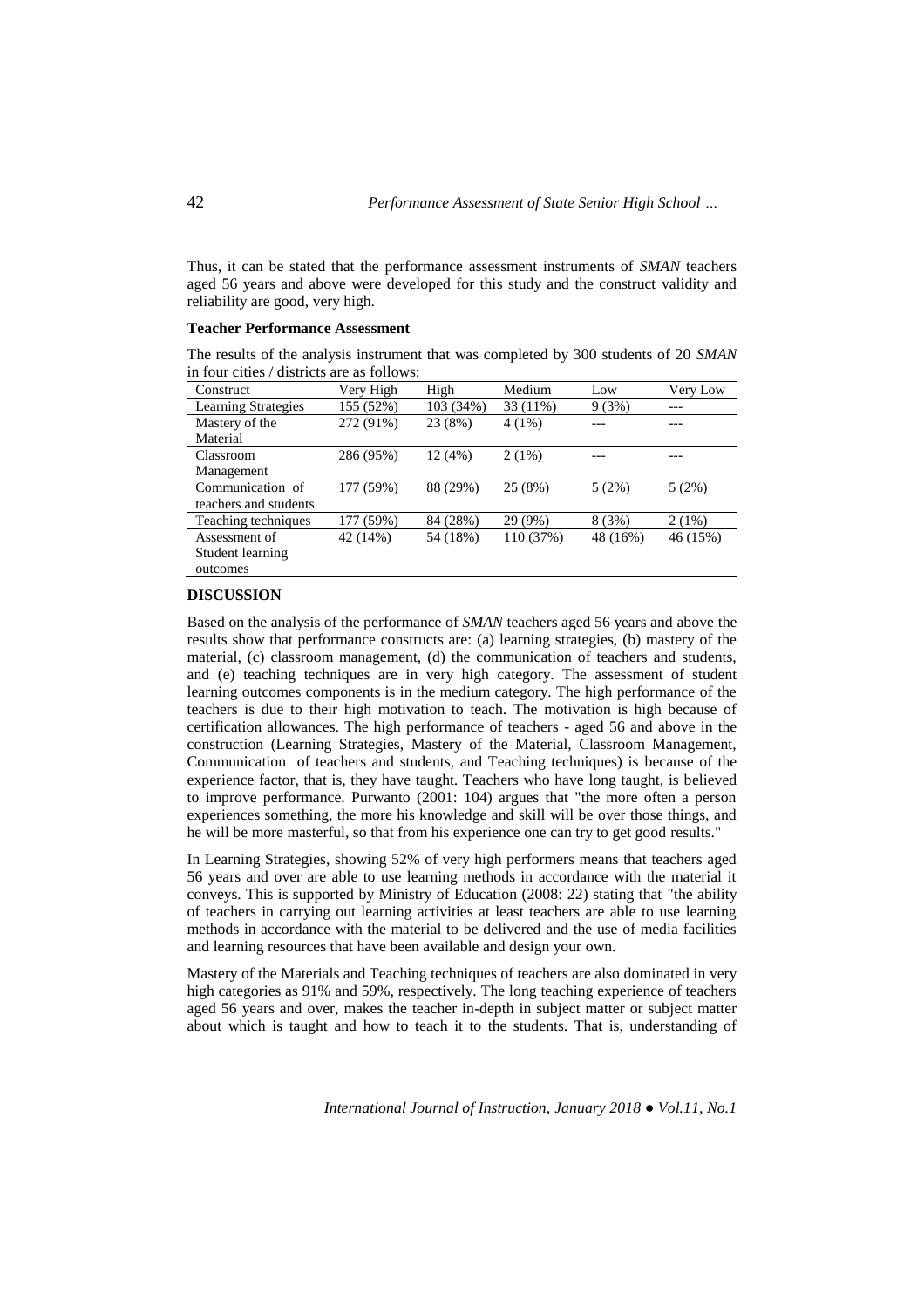Thus, it can be stated that the performance assessment instruments of *SMAN* teachers aged 56 years and above were developed for this study and the construct validity and reliability are good, very high.

## **Teacher Performance Assessment**

The results of the analysis instrument that was completed by 300 students of 20 *SMAN* in four cities / districts are as follows:

| <b>Construct</b>           | Very High | High      | Medium    | Low      | Very Low |
|----------------------------|-----------|-----------|-----------|----------|----------|
| <b>Learning Strategies</b> | 155 (52%) | 103 (34%) | 33 (11%)  | 9(3%)    |          |
| Mastery of the             | 272 (91%) | 23 (8%)   | $4(1\%)$  |          |          |
| Material                   |           |           |           |          |          |
| Classroom                  | 286 (95%) | 12(4%)    | 2(1%)     |          |          |
| Management                 |           |           |           |          |          |
| Communication of           | 177 (59%) | 88 (29%)  | 25(8%)    | 5(2%)    | 5(2%)    |
| teachers and students      |           |           |           |          |          |
| Teaching techniques        | 177 (59%) | 84 (28%)  | 29 (9%)   | 8(3%)    | 2(1%)    |
| Assessment of              | 42 (14%)  | 54 (18%)  | 110 (37%) | 48 (16%) | 46 (15%) |
| Student learning           |           |           |           |          |          |
| outcomes                   |           |           |           |          |          |

### **DISCUSSION**

Based on the analysis of the performance of *SMAN* teachers aged 56 years and above the results show that performance constructs are: (a) learning strategies, (b) mastery of the material, (c) classroom management, (d) the communication of teachers and students, and (e) teaching techniques are in very high category. The assessment of student learning outcomes components is in the medium category. The high performance of the teachers is due to their high motivation to teach. The motivation is high because of certification allowances. The high performance of teachers - aged 56 and above in the construction (Learning Strategies, Mastery of the Material, Classroom Management, Communication of teachers and students, and Teaching techniques) is because of the experience factor, that is, they have taught. Teachers who have long taught, is believed to improve performance. Purwanto (2001: 104) argues that "the more often a person experiences something, the more his knowledge and skill will be over those things, and he will be more masterful, so that from his experience one can try to get good results."

In Learning Strategies, showing 52% of very high performers means that teachers aged 56 years and over are able to use learning methods in accordance with the material it conveys. This is supported by Ministry of Education (2008: 22) stating that "the ability of teachers in carrying out learning activities at least teachers are able to use learning methods in accordance with the material to be delivered and the use of media facilities and learning resources that have been available and design your own.

Mastery of the Materials and Teaching techniques of teachers are also dominated in very high categories as 91% and 59%, respectively. The long teaching experience of teachers aged 56 years and over, makes the teacher in-depth in subject matter or subject matter about which is taught and how to teach it to the students. That is, understanding of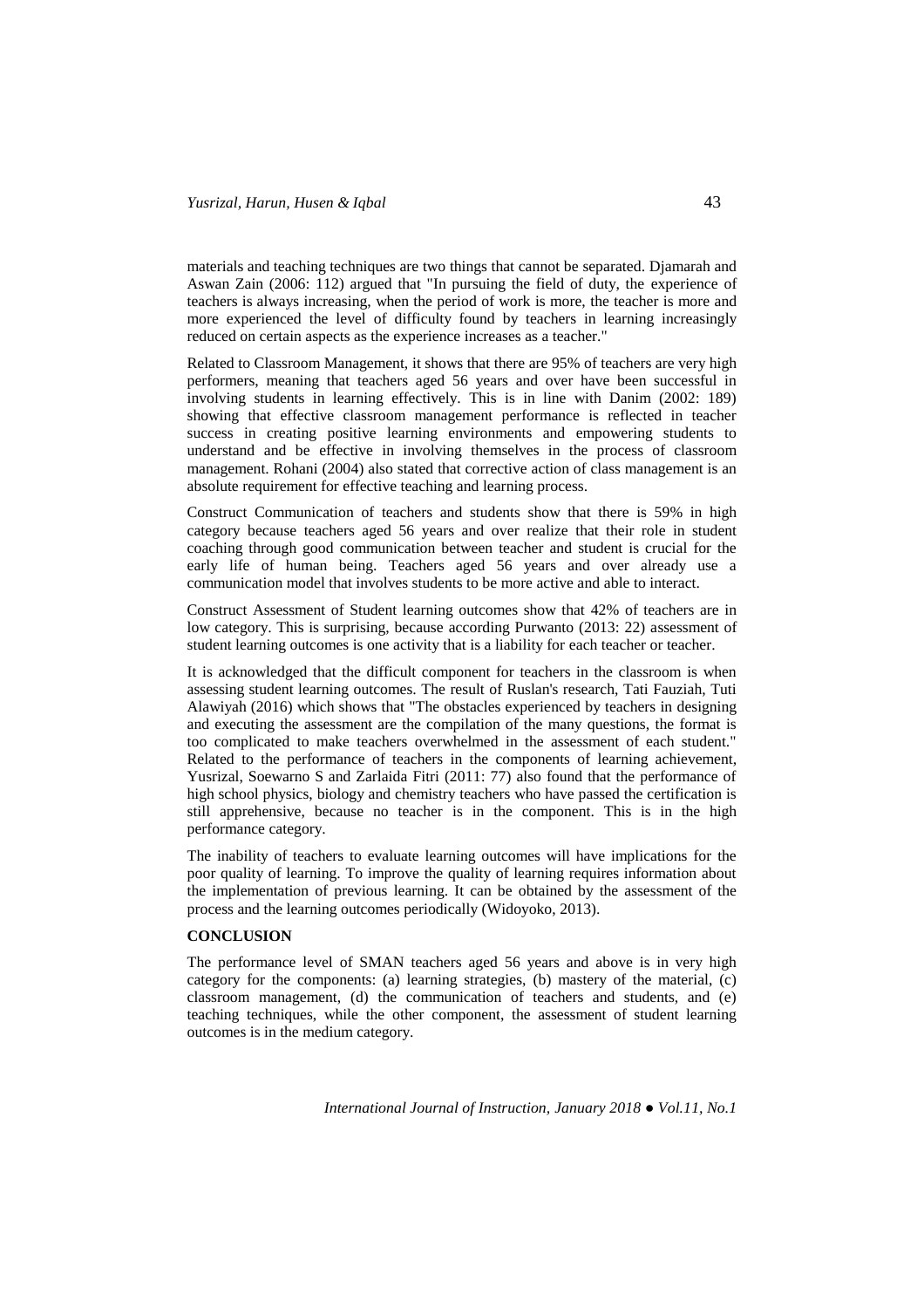materials and teaching techniques are two things that cannot be separated. Djamarah and Aswan Zain (2006: 112) argued that "In pursuing the field of duty, the experience of teachers is always increasing, when the period of work is more, the teacher is more and more experienced the level of difficulty found by teachers in learning increasingly reduced on certain aspects as the experience increases as a teacher."

Related to Classroom Management, it shows that there are 95% of teachers are very high performers, meaning that teachers aged 56 years and over have been successful in involving students in learning effectively. This is in line with Danim (2002: 189) showing that effective classroom management performance is reflected in teacher success in creating positive learning environments and empowering students to understand and be effective in involving themselves in the process of classroom management. Rohani (2004) also stated that corrective action of class management is an absolute requirement for effective teaching and learning process.

Construct Communication of teachers and students show that there is 59% in high category because teachers aged 56 years and over realize that their role in student coaching through good communication between teacher and student is crucial for the early life of human being. Teachers aged 56 years and over already use a communication model that involves students to be more active and able to interact.

Construct Assessment of Student learning outcomes show that 42% of teachers are in low category. This is surprising, because according Purwanto (2013: 22) assessment of student learning outcomes is one activity that is a liability for each teacher or teacher.

It is acknowledged that the difficult component for teachers in the classroom is when assessing student learning outcomes. The result of Ruslan's research, Tati Fauziah, Tuti Alawiyah (2016) which shows that "The obstacles experienced by teachers in designing and executing the assessment are the compilation of the many questions, the format is too complicated to make teachers overwhelmed in the assessment of each student." Related to the performance of teachers in the components of learning achievement, Yusrizal, Soewarno S and Zarlaida Fitri (2011: 77) also found that the performance of high school physics, biology and chemistry teachers who have passed the certification is still apprehensive, because no teacher is in the component. This is in the high performance category.

The inability of teachers to evaluate learning outcomes will have implications for the poor quality of learning. To improve the quality of learning requires information about the implementation of previous learning. It can be obtained by the assessment of the process and the learning outcomes periodically (Widoyoko, 2013).

# **CONCLUSION**

The performance level of SMAN teachers aged 56 years and above is in very high category for the components: (a) learning strategies, (b) mastery of the material, (c) classroom management, (d) the communication of teachers and students, and (e) teaching techniques, while the other component, the assessment of student learning outcomes is in the medium category.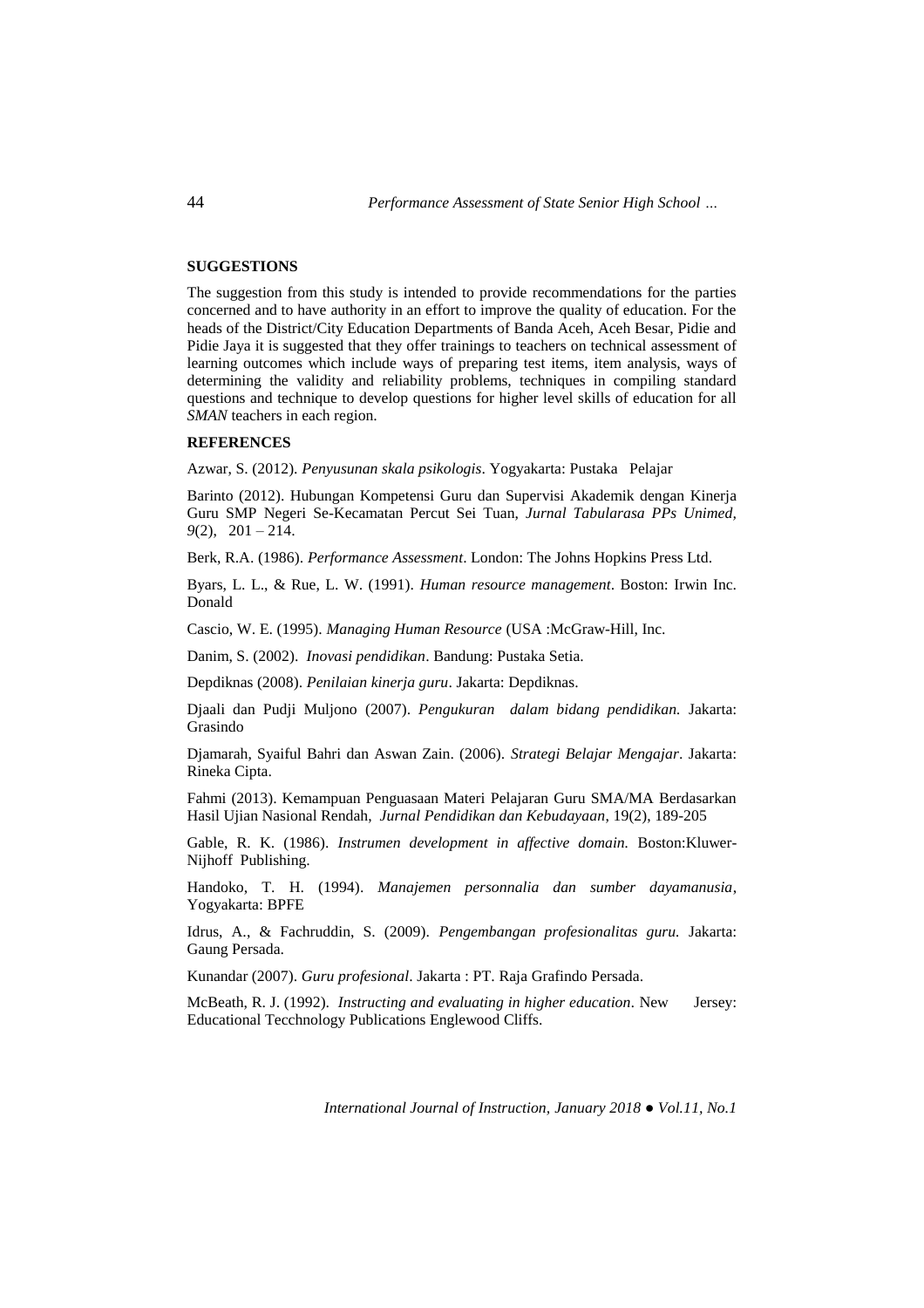## **SUGGESTIONS**

The suggestion from this study is intended to provide recommendations for the parties concerned and to have authority in an effort to improve the quality of education. For the heads of the District/City Education Departments of Banda Aceh, Aceh Besar, Pidie and Pidie Jaya it is suggested that they offer trainings to teachers on technical assessment of learning outcomes which include ways of preparing test items, item analysis, ways of determining the validity and reliability problems, techniques in compiling standard questions and technique to develop questions for higher level skills of education for all *SMAN* teachers in each region.

# **REFERENCES**

Azwar, S. (2012). *Penyusunan skala psikologis*. Yogyakarta: Pustaka Pelajar

Barinto (2012). Hubungan Kompetensi Guru dan Supervisi Akademik dengan Kinerja Guru SMP Negeri Se-Kecamatan Percut Sei Tuan, *Jurnal Tabularasa PPs Unimed, 9*(2), 201 – 214.

Berk, R.A. (1986). *Performance Assessment*. London: The Johns Hopkins Press Ltd.

Byars, L. L., & Rue, L. W. (1991). *Human resource management*. Boston: Irwin Inc. Donald

Cascio, W. E. (1995). *Managing Human Resource* (USA :McGraw-Hill, Inc.

Danim, S. (2002). *Inovasi pendidikan*. Bandung: Pustaka Setia.

Depdiknas (2008). *Penilaian kinerja guru*. Jakarta: Depdiknas.

Djaali dan Pudji Muljono (2007). *Pengukuran dalam bidang pendidikan.* Jakarta: Grasindo

Djamarah, Syaiful Bahri dan Aswan Zain. (2006). *Strategi Belajar Mengajar*. Jakarta: Rineka Cipta.

Fahmi (2013). Kemampuan Penguasaan Materi Pelajaran Guru SMA/MA Berdasarkan Hasil Ujian Nasional Rendah, *Jurnal Pendidikan dan Kebudayaan*, 19(2), 189-205

Gable, R. K. (1986). *Instrumen development in affective domain.* Boston:Kluwer-Nijhoff Publishing.

Handoko, T. H. (1994). *Manajemen personnalia dan sumber dayamanusia*, Yogyakarta: BPFE

Idrus, A., & Fachruddin, S. (2009). *Pengembangan profesionalitas guru.* Jakarta: Gaung Persada.

Kunandar (2007). *Guru profesional*. Jakarta : PT. Raja Grafindo Persada.

McBeath, R. J. (1992). *Instructing and evaluating in higher education.* New Jersey: Educational Tecchnology Publications Englewood Cliffs.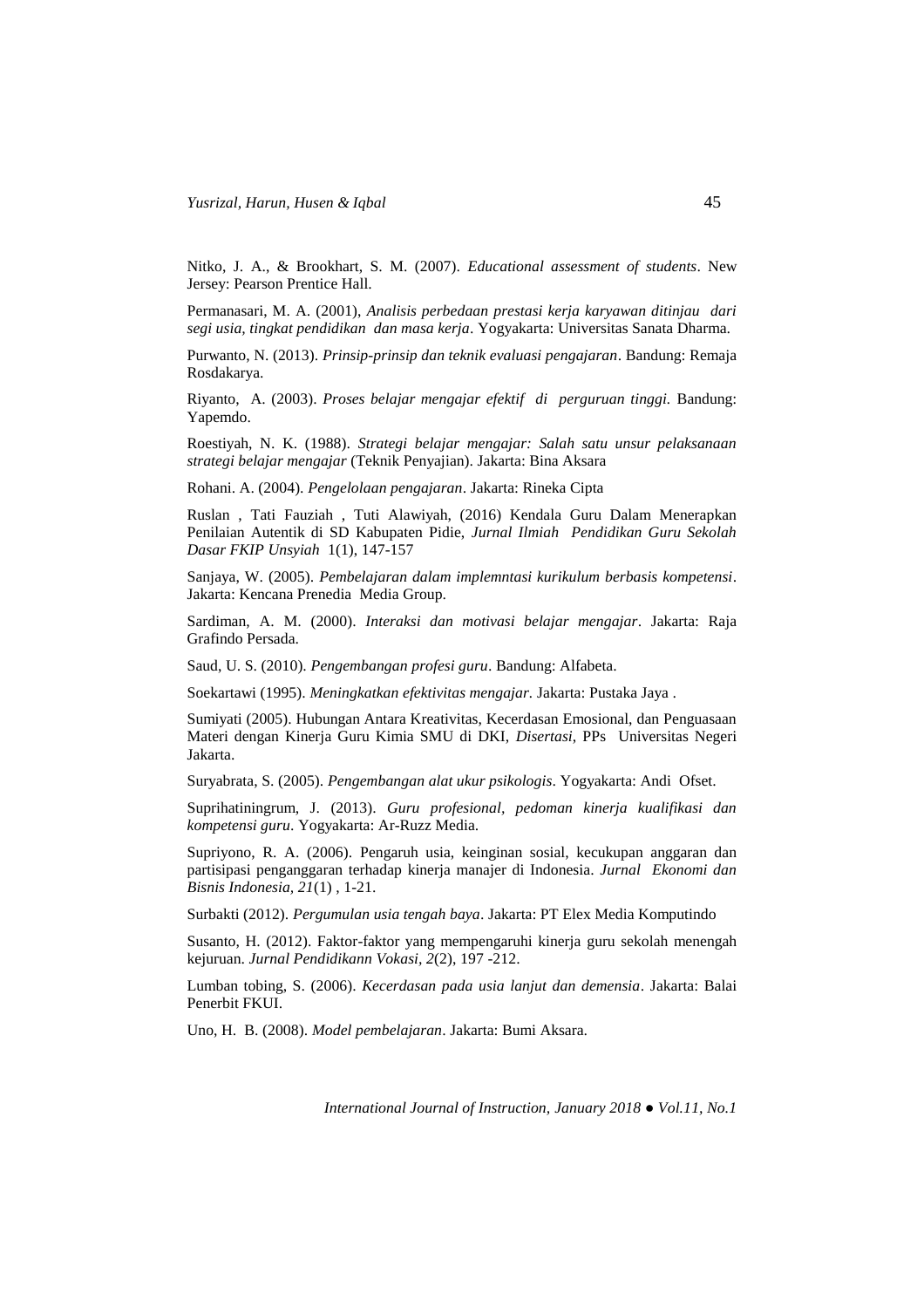Nitko, J. A., & Brookhart, S. M. (2007). *Educational assessment of students*. New Jersey: Pearson Prentice Hall.

Permanasari, M. A. (2001), *Analisis perbedaan prestasi kerja karyawan ditinjau dari segi usia, tingkat pendidikan dan masa kerja*. Yogyakarta: Universitas Sanata Dharma.

Purwanto, N. (2013). *Prinsip-prinsip dan teknik evaluasi pengajaran*. Bandung: Remaja Rosdakarya.

Riyanto, A. (2003). *Proses belajar mengajar efektif di perguruan tinggi.* Bandung: Yapemdo.

Roestiyah, N. K. (1988). *Strategi belajar mengajar: Salah satu unsur pelaksanaan strategi belajar mengajar* (Teknik Penyajian). Jakarta: Bina Aksara

Rohani. A. (2004). *Pengelolaan pengajaran*. Jakarta: Rineka Cipta

Ruslan , Tati Fauziah , Tuti Alawiyah, (2016) Kendala Guru Dalam Menerapkan Penilaian Autentik di SD Kabupaten Pidie, *Jurnal Ilmiah Pendidikan Guru Sekolah Dasar FKIP Unsyiah* 1(1), 147-157

Sanjaya, W. (2005). *Pembelajaran dalam implemntasi kurikulum berbasis kompetensi*. Jakarta: Kencana Prenedia Media Group.

Sardiman, A. M. (2000). *Interaksi dan motivasi belajar mengajar*. Jakarta: Raja Grafindo Persada.

Saud, U. S. (2010). *Pengembangan profesi guru*. Bandung: Alfabeta.

Soekartawi (1995). *Meningkatkan efektivitas mengajar.* Jakarta: Pustaka Jaya .

Sumiyati (2005). Hubungan Antara Kreativitas, Kecerdasan Emosional, dan Penguasaan Materi dengan Kinerja Guru Kimia SMU di DKI, *Disertasi*, PPs Universitas Negeri Jakarta.

Suryabrata, S. (2005). *Pengembangan alat ukur psikologis*. Yogyakarta: Andi Ofset.

Suprihatiningrum, J. (2013). *Guru profesional, pedoman kinerja kualifikasi dan kompetensi guru*. Yogyakarta: Ar-Ruzz Media.

Supriyono, R. A. (2006). Pengaruh usia, keinginan sosial, kecukupan anggaran dan partisipasi penganggaran terhadap kinerja manajer di Indonesia. *Jurnal Ekonomi dan Bisnis Indonesia, 21*(1) , 1-21.

Surbakti (2012). *Pergumulan usia tengah baya*. Jakarta: PT Elex Media Komputindo

Susanto, H. (2012). Faktor-faktor yang mempengaruhi kinerja guru sekolah menengah kejuruan. *Jurnal Pendidikann Vokasi, 2*(2), 197 -212.

Lumban tobing, S. (2006). *Kecerdasan pada usia lanjut dan demensia*. Jakarta: Balai Penerbit FKUI.

Uno, H. B. (2008). *Model pembelajaran*. Jakarta: Bumi Aksara.